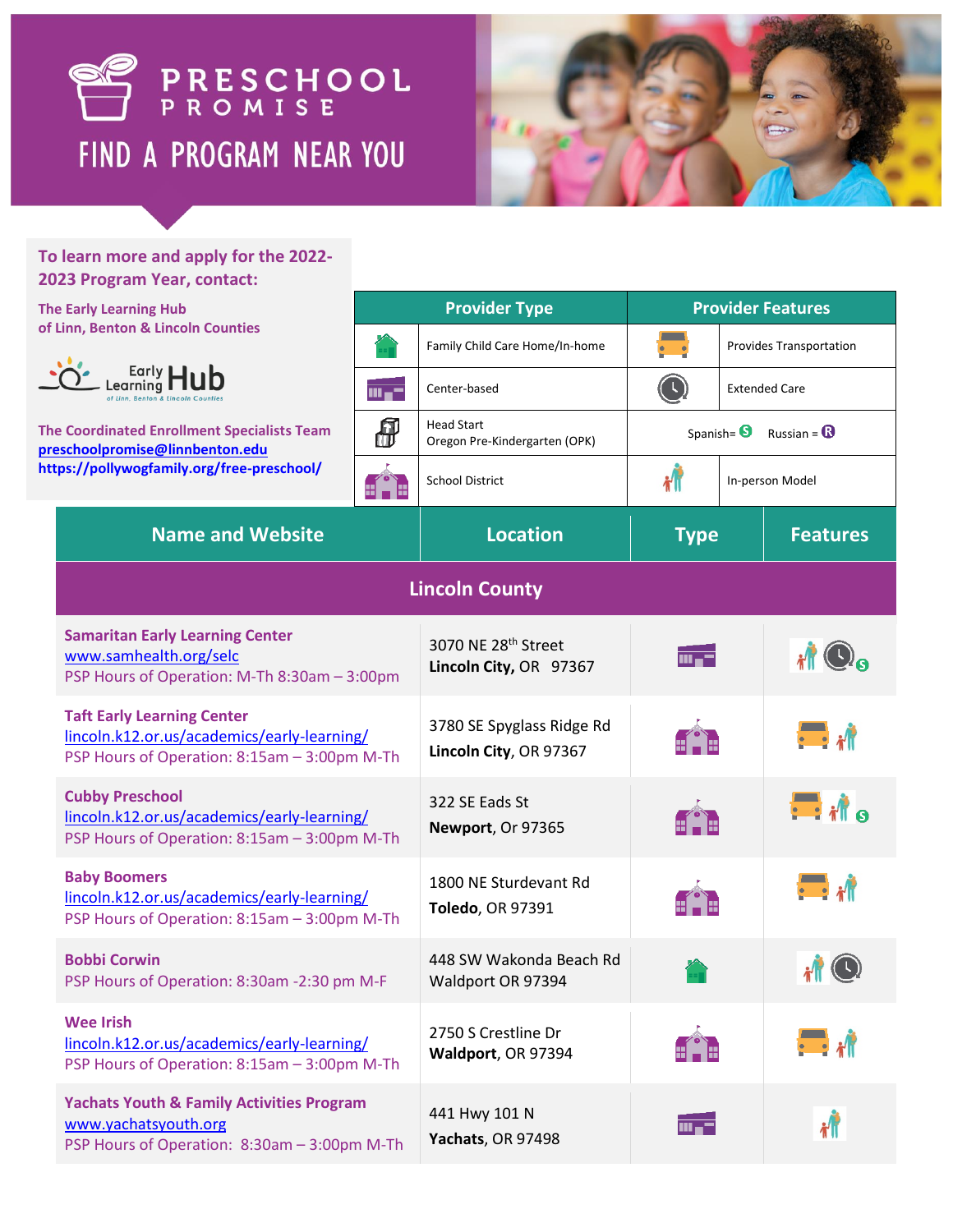



 $\boldsymbol{r}$ 

 $m = -$ 

## **To learn more and apply for the 2022- 2023 Program Year, contact:**

## **The Early Learning Hub of Linn, Benton & Lincoln Counties**

[www.yachatsyouth.org](file:///C:/Users/mayk/Downloads/www.yachatsyouth.org)



**The Coordinated Enrollment Specialists [preschoolpromise@linnbenton.edu](mailto:preschoolpromise@linnbenton.edu) https://pollywogfamily.org/free-preschool/**

**Yachats Youth & Family Activities Program**

PSP Hours of Operation: 8:30am – 3:00pm M-Th

| <b>Early Learning Hub</b>                                                                                                                     | <b>Provider Type</b> |                                                     | <b>Provider Features</b>                          |                      |                             |  |  |
|-----------------------------------------------------------------------------------------------------------------------------------------------|----------------------|-----------------------------------------------------|---------------------------------------------------|----------------------|-----------------------------|--|--|
| inn, Benton & Lincoln Counties                                                                                                                |                      | Family Child Care Home/In-home                      |                                                   |                      | Provides Transportation     |  |  |
| Early <b>Hub</b><br><b>Coordinated Enrollment Specialists Team</b><br>schoolpromise@linnbenton.edu<br>)s://pollywogfamily.org/free-preschool/ | $m_{\bullet}$ –      | Center-based                                        | $\textcircled{\small{1}}$                         | <b>Extended Care</b> |                             |  |  |
|                                                                                                                                               | ₩                    | <b>Head Start</b><br>Oregon Pre-Kindergarten (OPK)  | Russian = $\mathbf{\Omega}$<br>Spanish= $\bullet$ |                      |                             |  |  |
|                                                                                                                                               | 81 - 18              | <b>School District</b>                              | 州<br>In-person Model                              |                      |                             |  |  |
| <b>Name and Website</b>                                                                                                                       |                      | <b>Location</b>                                     | <b>Features</b><br><b>Type</b>                    |                      |                             |  |  |
| <b>Lincoln County</b>                                                                                                                         |                      |                                                     |                                                   |                      |                             |  |  |
| <b>Samaritan Early Learning Center</b><br>www.samhealth.org/selc<br>PSP Hours of Operation: M-Th 8:30am - 3:00pm                              |                      | 3070 NE 28th Street<br>Lincoln City, OR 97367       | $m = -$                                           |                      | $\mathbf{r}$ O <sub>o</sub> |  |  |
| <b>Taft Early Learning Center</b><br>lincoln.k12.or.us/academics/early-learning/<br>PSP Hours of Operation: 8:15am - 3:00pm M-Th              |                      | 3780 SE Spyglass Ridge Rd<br>Lincoln City, OR 97367 |                                                   |                      | $\blacksquare$              |  |  |
| <b>Cubby Preschool</b><br>lincoln.k12.or.us/academics/early-learning/<br>PSP Hours of Operation: 8:15am - 3:00pm M-Th                         |                      | 322 SE Eads St<br>Newport, Or 97365                 |                                                   |                      | $\blacksquare$              |  |  |
| <b>Baby Boomers</b><br>lincoln.k12.or.us/academics/early-learning/<br>PSP Hours of Operation: 8:15am - 3:00pm M-Th                            |                      | 1800 NE Sturdevant Rd<br>Toledo, OR 97391           |                                                   |                      | $\blacksquare$              |  |  |
| <b>Bobbi Corwin</b><br>PSP Hours of Operation: 8:30am -2:30 pm M-F                                                                            |                      | 448 SW Wakonda Beach Rd<br>Waldport OR 97394        |                                                   |                      | $H$ $\odot$                 |  |  |
| Wee Irish<br>lincoln.k12.or.us/academics/early-learning/<br>PSP Hours of Operation: 8:15am - 3:00pm M-Th                                      |                      | 2750 S Crestline Dr<br>Waldport, OR 97394           |                                                   |                      |                             |  |  |
|                                                                                                                                               |                      |                                                     |                                                   |                      |                             |  |  |

441 Hwy 101 N **Yachats**, OR 97498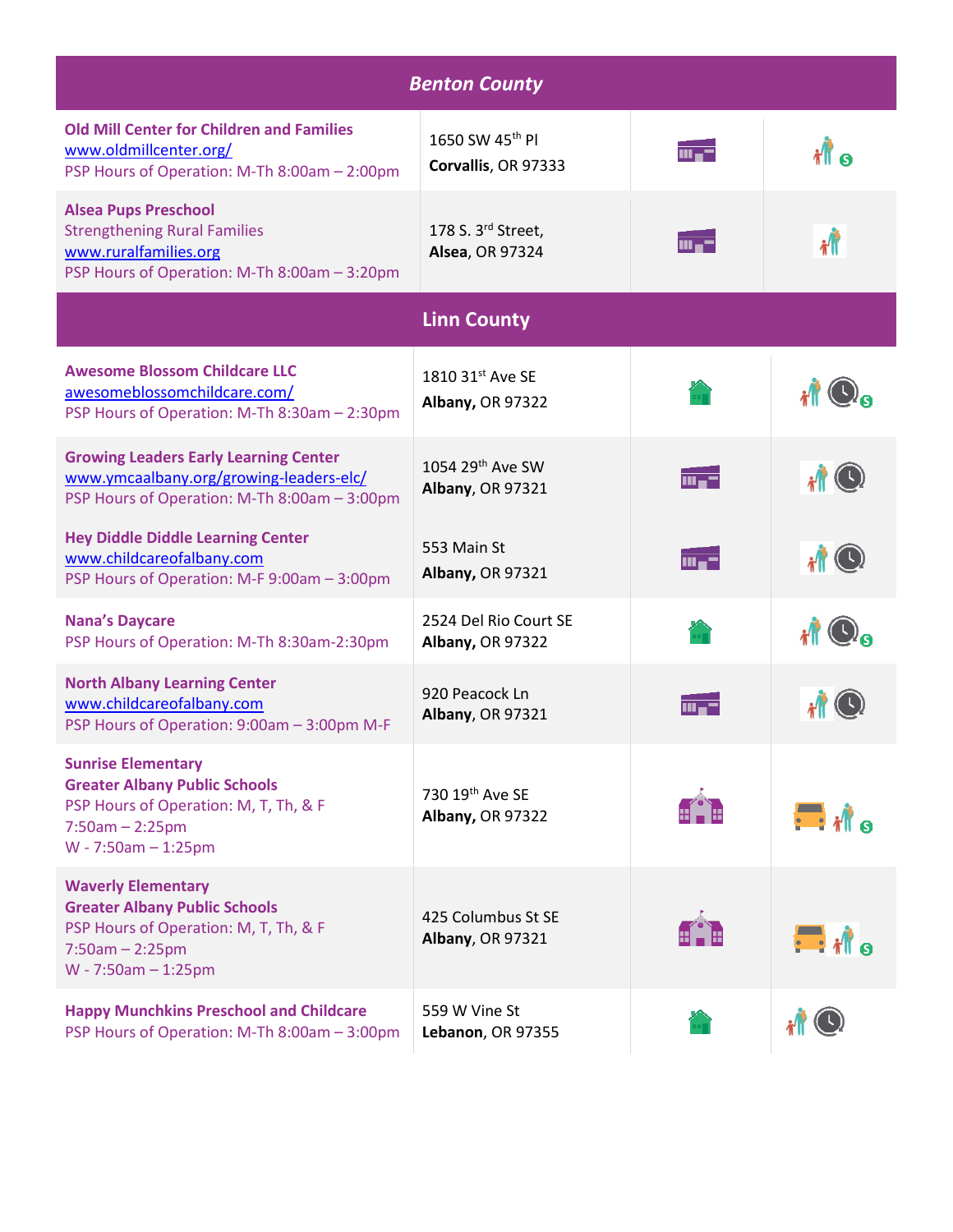| <b>Benton County</b>                                                                                                                                     |                                                  |                                                    |                     |  |  |  |
|----------------------------------------------------------------------------------------------------------------------------------------------------------|--------------------------------------------------|----------------------------------------------------|---------------------|--|--|--|
| <b>Old Mill Center for Children and Families</b><br>www.oldmillcenter.org/<br>PSP Hours of Operation: M-Th 8:00am - 2:00pm                               | 1650 SW 45th PI<br>Corvallis, OR 97333           | $\overline{\mathrm{m}}$ . $\overline{\phantom{m}}$ |                     |  |  |  |
| <b>Alsea Pups Preschool</b><br><b>Strengthening Rural Families</b><br>www.ruralfamilies.org<br>PSP Hours of Operation: M-Th 8:00am - 3:20pm              | 178 S. 3rd Street,<br><b>Alsea, OR 97324</b>     | $\overline{\text{m}}$ . $\overline{\text{m}}$      |                     |  |  |  |
| <b>Linn County</b>                                                                                                                                       |                                                  |                                                    |                     |  |  |  |
| <b>Awesome Blossom Childcare LLC</b><br>awesomeblossomchildcare.com/<br>PSP Hours of Operation: M-Th 8:30am - 2:30pm                                     | 1810 31st Ave SE<br><b>Albany, OR 97322</b>      |                                                    |                     |  |  |  |
| <b>Growing Leaders Early Learning Center</b><br>www.ymcaalbany.org/growing-leaders-elc/<br>PSP Hours of Operation: M-Th 8:00am - 3:00pm                  | 1054 29 <sup>th</sup> Ave SW<br>Albany, OR 97321 | $m = -$                                            | $\mathbf{r}$ O      |  |  |  |
| <b>Hey Diddle Diddle Learning Center</b><br>www.childcareofalbany.com<br>PSP Hours of Operation: M-F 9:00am - 3:00pm                                     | 553 Main St<br><b>Albany, OR 97321</b>           | mu-T                                               |                     |  |  |  |
| <b>Nana's Daycare</b><br>PSP Hours of Operation: M-Th 8:30am-2:30pm                                                                                      | 2524 Del Rio Court SE<br><b>Albany, OR 97322</b> |                                                    |                     |  |  |  |
| <b>North Albany Learning Center</b><br>www.childcareofalbany.com<br>PSP Hours of Operation: 9:00am - 3:00pm M-F                                          | 920 Peacock Ln<br><b>Albany, OR 97321</b>        |                                                    |                     |  |  |  |
| <b>Sunrise Elementary</b><br><b>Greater Albany Public Schools</b><br>PSP Hours of Operation: M, T, Th, & F<br>$7:50am - 2:25pm$<br>$W - 7:50am - 1:25pm$ | 730 19th Ave SE<br><b>Albany, OR 97322</b>       |                                                    | $\blacksquare$ ille |  |  |  |
| <b>Waverly Elementary</b><br><b>Greater Albany Public Schools</b><br>PSP Hours of Operation: M, T, Th, & F<br>$7:50am - 2:25pm$<br>$W - 7:50am - 1:25pm$ | 425 Columbus St SE<br><b>Albany, OR 97321</b>    |                                                    | $\blacksquare$      |  |  |  |
| <b>Happy Munchkins Preschool and Childcare</b><br>PSP Hours of Operation: M-Th 8:00am - 3:00pm                                                           | 559 W Vine St<br>Lebanon, OR 97355               |                                                    |                     |  |  |  |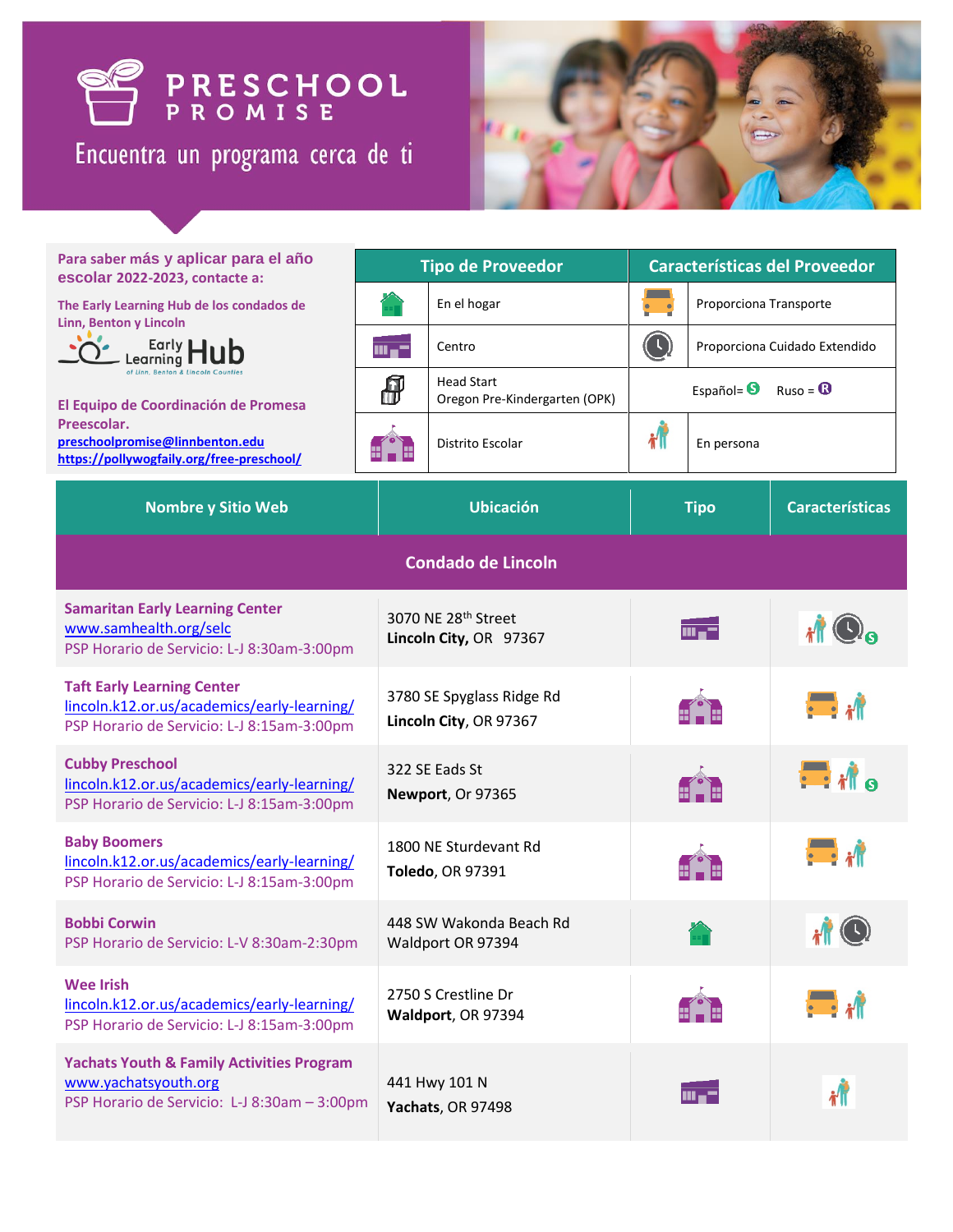

Encuentra un programa cerca de ti